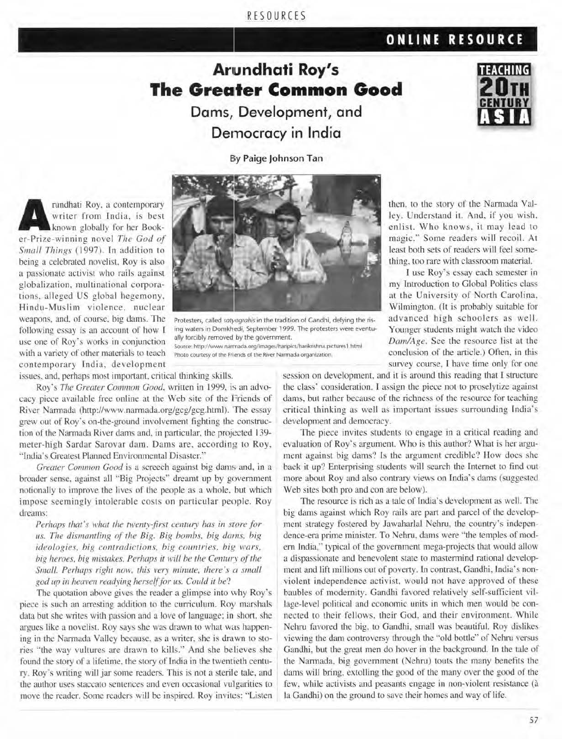### RESOURCES

## **ONLINE RESOURCE**

**TEACHING** 

# **Ariundhati Roy's The Greater Common Good Dams, Development, and**

**Dernocracy in India** 

Bly **Paige Johnson Tan** 

**ARR** writer from India, is best<br>
known globally for her Book-<br>
er-Prize-winning novel *The God of* writer from India, is best known globally for her Book-*Small Things (1997)*. In addition to being a celebrated novelist. Roy is also a passionate activist who rails against globalization. multinational corporations, alleged US global hegemony. Hindu-Muslim violence. nuclear weapons, and, of course, big dams. The following essay is an account of how l contemporary India, development



Protesters, called sotyagrahis in the tradition of Gandhi, defying the rising waters in Domkhedi, September 1999. The protesters were eventually forcibly removed by the government. use one of Roy's works in conjunction ally forcibly removed by the government.<br>With a variety of other materials to teach photo courtesy of the Friends of the River Namada organization. Photo courtesy of the Friends of the River Narmada organization

issues, and, perhaps most important, critical thinking skills.

Roy's *The Greater Common Good*, written in 1999, is an advocacy piece available free online at the Web site of the Friends of River Narmada (http://www.narmada.org/gcg/gcg.html). The essay grew out of Roy's on-the-ground involvement fighting the construction of the Narmada River dams and, in particular, the projected 139meter-high Sardar Surovar dam. Dams are. according lo Roy, "India's Greatest Planned Environmental Disaster."

Greater Common Good is a screech against big dams and, in a broader sense, against all "Big Projects" dreamt up by government notionally to improve the lives of the people as a whole, but which impose seemingly intolerable costs on particular people. Roy dreams:

*Perhaps that's what the twenty-first century has in store for us. The dismantling of the Big. Big bombs, big dams, big ideologies, big contradictions, big countries, big wars, big heroes, big mistakes. Perhaps it will be the Century of the Small. Perhaps right now, this very minute, there's a small* god up in heaven readying herself for us. Could it be?

The quotation above gives the reader a glimpse into why Roy's piece is such an arresting addition to the curriculum. Roy marshals data but she writes with passion and a love of language: in short, she argues like a novelist. Roy says she was drawn to what was happening in the Narmada Valley because, as a writer, she is drawn to stories "the way vultures are drawn to kills." And she believes she found the story of a lifetime, the story of India in the twentieth century. Roy's writing will jar some readers. This is not a sterile tale, and the author uses staccato sentences and even occasional vullgarities to move the reader. Some readers will be inspired. Roy invites: "Listen

then. to the story of the Narmada Valley. Understand i1. And. if you wish. enlist. Who knows, it may lead to magic.'· *Some* readers will recoil. Al least both sets of readers will feel something, too rare with classroom material.

I use Roy's essay each semester in my Introduction to Global Politics class at the University of North Carolina. Wilmington. (It is probably suitable for advanced high schoolers as well. Younger students might watch the video *Dam/Age*. See the resource list at the conclusion of the article.) Often, in this survey course. I have time only for one

session on development, and it is around this reading that I structure the class· consideration. l assign the piece not to proselytize against dams. but rather because of the richness of the resource for teaching critical thinking as well as important issues surrounding India's development and democracy.

The piece invites students to engage in a critical reading and evaluation of Roy's argument. Who is this author? What is her argument against big dams? Is the argument credible? How does she back it up? Enterprising students will search the Internet to find out more about Roy and also contrary views on India's dams (suggested Web sites both pro and con are below).

The resource is rich as a tale of India's development as well. The big dams against which Roy rails are part and parcel of the development strategy fostered by Jawaharlal Nehru. the country·s independence-era prime minister. To Nehru, dams were "the temples of modern India." typical of the government mega-projects that would allow a dispassionate and benevolent state to mastermind rational development and lift millions out of poverty. In contrast, Gandhi, India's nonviolent independence activist, would not have approved of these baubles of modernity. Gandhi favored relatively self-sufficient village-level political and economic units in which men would be connected to their fellows. their God, and their environment. While Nehru favored the big. 10 Gandhi. small was beautiful. Roy dislikes viewing the dam controversy through the "old bottle" of Nehru versus Gandhi, but the great men do hover in the background. In the tale of the Narmada. big government (Nehru) touts the many benefits the dams will bring, extolling the good of the many over the good of the few, while activists and peasants engage in non-violent resistance (à la Gandhi) on the ground to save their homes and way of life.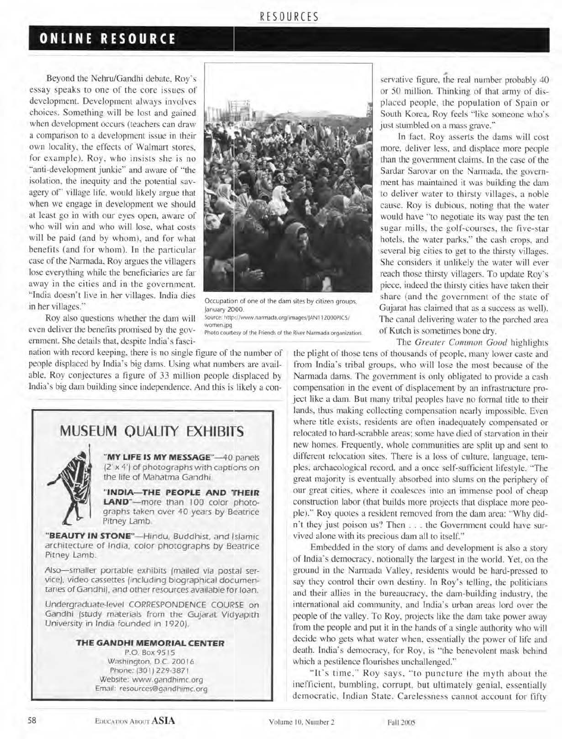### RESOURCES

## **ONLINE RESOURCE**

Beyond the Nehru/Gandhi debate, Roy's essay speaks to one of the core issues of development. Development always involves choices. Something will be lost and gained when development occurs (teachers can draw a comparison to a development issue in their own locality, the effects of Walmart stores. for example). Roy, who insists she is no "anti-development junkie" and aware of "the isolation, the inequity and the potential savagery of' village life. would likely argue that when we engage in development we should at least go in with our eyes open, aware of who will win and who will lose. what costs will be paid (and by whom), and for what benefits (and for whom). In the particular case of the Narmada. Roy argues the villagers lose everything while the beneficiaries are far away in the cities and in the government. ·'lmJia doesn·t live in her villages. India dies in her villages.<sup>\*</sup> Occupation of one of the dam sites by citizen groups,<br>in her villages.\*\* lower 2000

Roy also questions whether the dam will even deliver the benefits promised by the government. She details that, despite India's fasci-

nation with record keeping. iherc is no single figure of the number of people displaced by India's big dams. Using what numbers are available. Roy conjectures a figure of 33 million people displaced by lndia's big dam building since independence. And this is likely a con-



January 2Ct00. Source: http://www.narmada.org/images/JAN112000PICS/ women,jpg Photo courtesy of the Friends of the River Narmada organization.

servative figure, the real number probably 40 or 50 million. Thinking of that army of displuced people, the population of Spain or South Korea. Roy feels "like someone who's just stumbled on a mass grave."

In fact, Roy asserts the dams will cost more. deliver less. and displace more people than the government claims. ln the case of the Sardar Sarovar on the Narmada. the government has maintained it was building the dam to deliver water to thirsty villages, a noble cause. Roy is dubious, noting that the water would have "to negotiate its way past the ten sugar mills, the golf-courses, the five-star hotels, the water parks." the cash crops, and several big cities to get to the thirsty villages. She considers it unlikely the water will ever reach those thirsty villagers. To update Roy's piece. indeed the thirsty cities have taken their share (and the government of the state of Gujarat has claimed that as a success as well). The canal delivering water to the parched area of Kutch is sometimes bone dry.

The *Greater Common Good* highlights

the plight of those tens of thousands of people, many lower caste and from India's tribal groups. who will lose the most because of the Narmada dams. The government is only obligated to provide a cash compensation in the event of displacement by an infrastructure project like a dam. But many tribal peoples have no formal title to their lands, thus making collecting compensation nearly impossible. Even where title exists, residents are often inadequately compensated or relocated to hard-scrabble areas: some have died of starvation in their new homes. Frequently. whole communities are split up and sent to different relocation sites. There is a loss of culture, language, temples. archaeological record, and a once self-sufficient lifestyle. "The great majority is eventually absorbed into slums on the periphery of our great cities, where it coalesces into an immense pool of cheap construction labor (that builds more projects that displace more people)." Roy quotes a resident removed from the dam area: "Why didn't they just poison us? Then . . . the Government could have survived alone with its precious dam all to itself."

Embedded in the story of dams and development is also a story of India's democracy, notionally the largest in the world. Yet, on the ground in the Narmada Valley, residents would be hard-pressed to say they control their own destiny. In Roy's telling, the politicians and their allies in the bureaucracy. the dam-building induslry. the international aid community, and India's urban areas lord over the people of the valley. To Roy. projects like the dam take power away from the people and put it in the hands of a single authority who will decide who gets what water when, essentially the power of life and death. India's democracy, for Roy, is "the benevolent mask behind which a pestilence flourishes unchallenged."

"It's time." Roy says, "to puncture the myth about the inefficient, bumbling, corrupt, but ultimately genial, essentially democratic. Indian State. Carelessness cannot account for fifty



"MY LIFE IS MY MESSAGE"-40 panels (2' x 4') of photographs with captions on the life of Mahatma Gandhi.

"INDIA-THE PEOPLE AND THEIR LAND"-more than 100 color photographs taken over 40 years by Beatrice Pitney Lamb

"BEAUTY IN STONE"-Hindu, Buddhist, and Islamic architecture of India. color photographs by Beatrice Pitney Lamb.

Also-smaller portable exhibits jmailed via postal *ser*vice/. video *cassettes* {including biographical documentaries of Gandhi). and other resources available for loan.

Undergraduate.level CORRESPONDENCE COUR'SE on Gandhi (study materials from the GUJarat Vidyapith University in India founded in 1920).

### **THE GANDHI MEMORIAL CENTER**

P.O Box 9515 Washington, D.C. 20016 Phone: (30 I) 229-387 I Website: www.gandhimc.org Email: resources@gandhimc.org